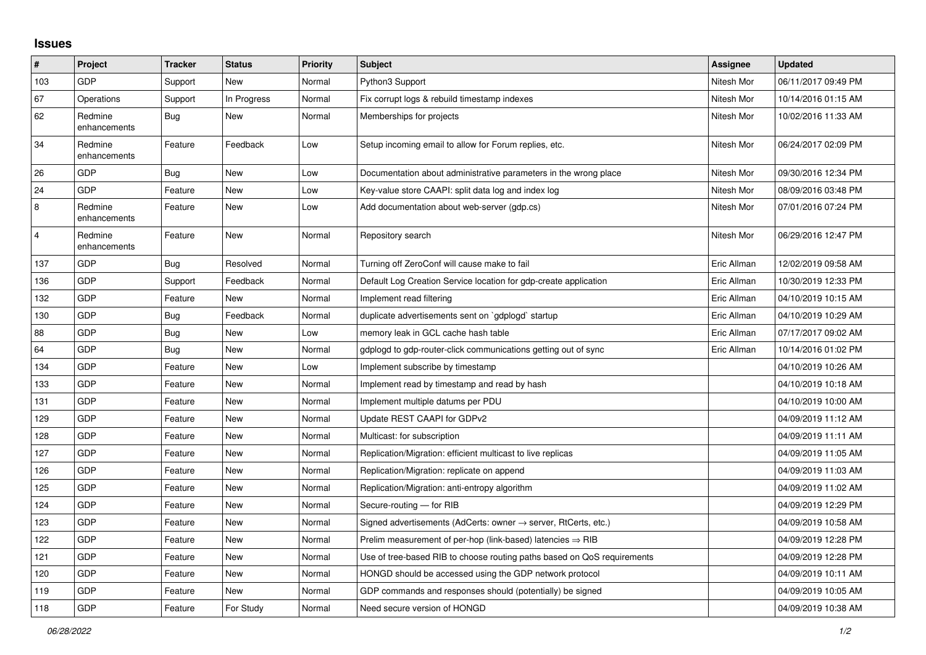## **Issues**

| #              | Project                 | <b>Tracker</b> | <b>Status</b> | <b>Priority</b> | <b>Subject</b>                                                             | Assignee    | <b>Updated</b>      |
|----------------|-------------------------|----------------|---------------|-----------------|----------------------------------------------------------------------------|-------------|---------------------|
| 103            | <b>GDP</b>              | Support        | <b>New</b>    | Normal          | Python3 Support                                                            | Nitesh Mor  | 06/11/2017 09:49 PM |
| 67             | Operations              | Support        | In Progress   | Normal          | Fix corrupt logs & rebuild timestamp indexes                               | Nitesh Mor  | 10/14/2016 01:15 AM |
| 62             | Redmine<br>enhancements | Bug            | New           | Normal          | Memberships for projects                                                   | Nitesh Mor  | 10/02/2016 11:33 AM |
| 34             | Redmine<br>enhancements | Feature        | Feedback      | Low             | Setup incoming email to allow for Forum replies, etc.                      | Nitesh Mor  | 06/24/2017 02:09 PM |
| 26             | <b>GDP</b>              | Bug            | <b>New</b>    | Low             | Documentation about administrative parameters in the wrong place           | Nitesh Mor  | 09/30/2016 12:34 PM |
| 24             | GDP                     | Feature        | <b>New</b>    | Low             | Key-value store CAAPI: split data log and index log                        | Nitesh Mor  | 08/09/2016 03:48 PM |
| 8              | Redmine<br>enhancements | Feature        | New           | Low             | Add documentation about web-server (gdp.cs)                                | Nitesh Mor  | 07/01/2016 07:24 PM |
| $\overline{4}$ | Redmine<br>enhancements | Feature        | <b>New</b>    | Normal          | Repository search                                                          | Nitesh Mor  | 06/29/2016 12:47 PM |
| 137            | <b>GDP</b>              | Bug            | Resolved      | Normal          | Turning off ZeroConf will cause make to fail                               | Eric Allman | 12/02/2019 09:58 AM |
| 136            | GDP                     | Support        | Feedback      | Normal          | Default Log Creation Service location for gdp-create application           | Eric Allman | 10/30/2019 12:33 PM |
| 132            | GDP                     | Feature        | <b>New</b>    | Normal          | Implement read filtering                                                   | Eric Allman | 04/10/2019 10:15 AM |
| 130            | <b>GDP</b>              | <b>Bug</b>     | Feedback      | Normal          | duplicate advertisements sent on `gdplogd` startup                         | Eric Allman | 04/10/2019 10:29 AM |
| 88             | <b>GDP</b>              | <b>Bug</b>     | <b>New</b>    | Low             | memory leak in GCL cache hash table                                        | Eric Allman | 07/17/2017 09:02 AM |
| 64             | GDP                     | Bug            | <b>New</b>    | Normal          | gdplogd to gdp-router-click communications getting out of sync             | Eric Allman | 10/14/2016 01:02 PM |
| 134            | GDP                     | Feature        | <b>New</b>    | Low             | Implement subscribe by timestamp                                           |             | 04/10/2019 10:26 AM |
| 133            | GDP                     | Feature        | <b>New</b>    | Normal          | Implement read by timestamp and read by hash                               |             | 04/10/2019 10:18 AM |
| 131            | <b>GDP</b>              | Feature        | New           | Normal          | Implement multiple datums per PDU                                          |             | 04/10/2019 10:00 AM |
| 129            | GDP                     | Feature        | <b>New</b>    | Normal          | Update REST CAAPI for GDPv2                                                |             | 04/09/2019 11:12 AM |
| 128            | <b>GDP</b>              | Feature        | <b>New</b>    | Normal          | Multicast: for subscription                                                |             | 04/09/2019 11:11 AM |
| 127            | <b>GDP</b>              | Feature        | <b>New</b>    | Normal          | Replication/Migration: efficient multicast to live replicas                |             | 04/09/2019 11:05 AM |
| 126            | <b>GDP</b>              | Feature        | <b>New</b>    | Normal          | Replication/Migration: replicate on append                                 |             | 04/09/2019 11:03 AM |
| 125            | <b>GDP</b>              | Feature        | <b>New</b>    | Normal          | Replication/Migration: anti-entropy algorithm                              |             | 04/09/2019 11:02 AM |
| 124            | GDP                     | Feature        | New           | Normal          | Secure-routing - for RIB                                                   |             | 04/09/2019 12:29 PM |
| 123            | GDP                     | Feature        | <b>New</b>    | Normal          | Signed advertisements (AdCerts: owner $\rightarrow$ server, RtCerts, etc.) |             | 04/09/2019 10:58 AM |
| 122            | GDP                     | Feature        | New           | Normal          | Prelim measurement of per-hop (link-based) latencies $\Rightarrow$ RIB     |             | 04/09/2019 12:28 PM |
| 121            | <b>GDP</b>              | Feature        | <b>New</b>    | Normal          | Use of tree-based RIB to choose routing paths based on QoS requirements    |             | 04/09/2019 12:28 PM |
| 120            | <b>GDP</b>              | Feature        | New           | Normal          | HONGD should be accessed using the GDP network protocol                    |             | 04/09/2019 10:11 AM |
| 119            | <b>GDP</b>              | Feature        | <b>New</b>    | Normal          | GDP commands and responses should (potentially) be signed                  |             | 04/09/2019 10:05 AM |
| 118            | GDP                     | Feature        | For Study     | Normal          | Need secure version of HONGD                                               |             | 04/09/2019 10:38 AM |